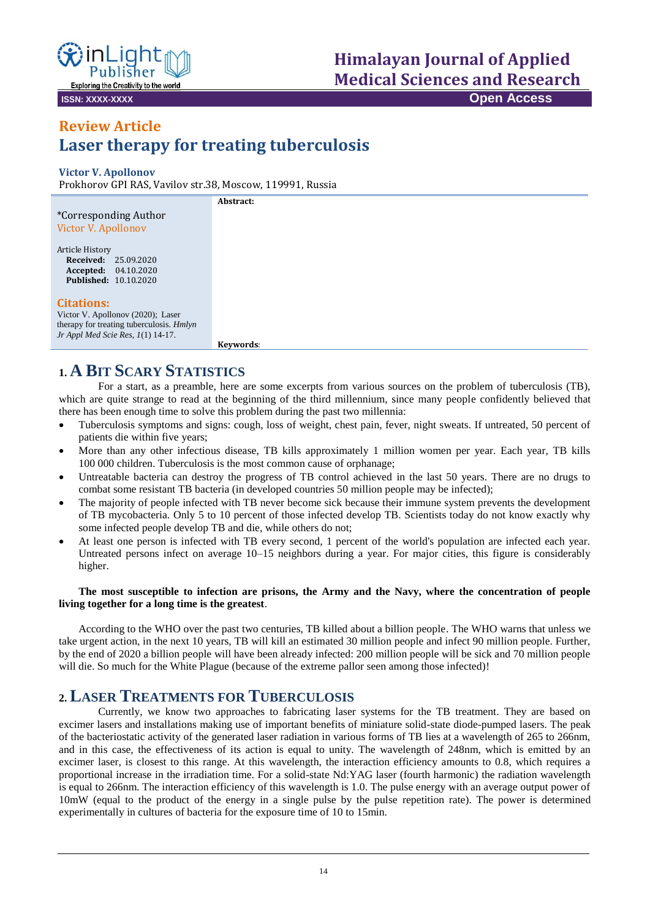

# **Himalayan Journal of Applied Medical Sciences and Research**

**ISSN: XXXX-XXXX Open Access**

## **Review Article Laser therapy for treating tuberculosis**

#### **Victor V. Apollonov**

Prokhorov GPI RAS, Vavilov str.38, Moscow, 119991, Russia

|                                                                                                                                                  | Abstract: |
|--------------------------------------------------------------------------------------------------------------------------------------------------|-----------|
| *Corresponding Author                                                                                                                            |           |
| Victor V. Apollonov                                                                                                                              |           |
| Article History<br><b>Received: 25.09.2020</b><br><b>Accepted:</b> 04.10.2020<br><b>Published: 10.10.2020</b>                                    |           |
| <b>Citations:</b><br>Victor V. Apollonov (2020); Laser<br>therapy for treating tuberculosis. <i>Hmlyn</i><br>Jr Appl Med Scie Res, $1(1)$ 14-17. |           |
|                                                                                                                                                  | Keywords: |

## **1. A BIT SCARY STATISTICS**

For a start, as a preamble, here are some excerpts from various sources on the problem of tuberculosis (TB), which are quite strange to read at the beginning of the third millennium, since many people confidently believed that there has been enough time to solve this problem during the past two millennia:

- Tuberculosis symptoms and signs: cough, loss of weight, chest pain, fever, night sweats. If untreated, 50 percent of patients die within five years;
- More than any other infectious disease, TB kills approximately 1 million women per year. Each year, TB kills 100 000 children. Tuberculosis is the most common cause of orphanage;
- Untreatable bacteria can destroy the progress of TB control achieved in the last 50 years. There are no drugs to combat some resistant TB bacteria (in developed countries 50 million people may be infected);
- The majority of people infected with TB never become sick because their immune system prevents the development of TB mycobacteria. Only 5 to 10 percent of those infected develop TB. Scientists today do not know exactly why some infected people develop TB and die, while others do not;
- At least one person is infected with TB every second, 1 percent of the world's population are infected each year. Untreated persons infect on average 10–15 neighbors during a year. For major cities, this figure is considerably higher.

#### **The most susceptible to infection are prisons, the Army and the Navy, where the concentration of people living together for a long time is the greatest**.

According to the WHO over the past two centuries, TB killed about a billion people. The WHO warns that unless we take urgent action, in the next 10 years, TB will kill an estimated 30 million people and infect 90 million people. Further, by the end of 2020 a billion people will have been already infected: 200 million people will be sick and 70 million people will die. So much for the White Plague (because of the extreme pallor seen among those infected)!

## **2. LASER TREATMENTS FOR TUBERCULOSIS**

Currently, we know two approaches to fabricating laser systems for the TB treatment. They are based on excimer lasers and installations making use of important benefits of miniature solid-state diode-pumped lasers. The peak of the bacteriostatic activity of the generated laser radiation in various forms of TB lies at a wavelength of 265 to 266nm, and in this case, the effectiveness of its action is equal to unity. The wavelength of 248nm, which is emitted by an excimer laser, is closest to this range. At this wavelength, the interaction efficiency amounts to 0.8, which requires a proportional increase in the irradiation time. For a solid-state Nd:YAG laser (fourth harmonic) the radiation wavelength is equal to 266nm. The interaction efficiency of this wavelength is 1.0. The pulse energy with an average output power of 10mW (equal to the product of the energy in a single pulse by the pulse repetition rate). The power is determined experimentally in cultures of bacteria for the exposure time of 10 to 15min.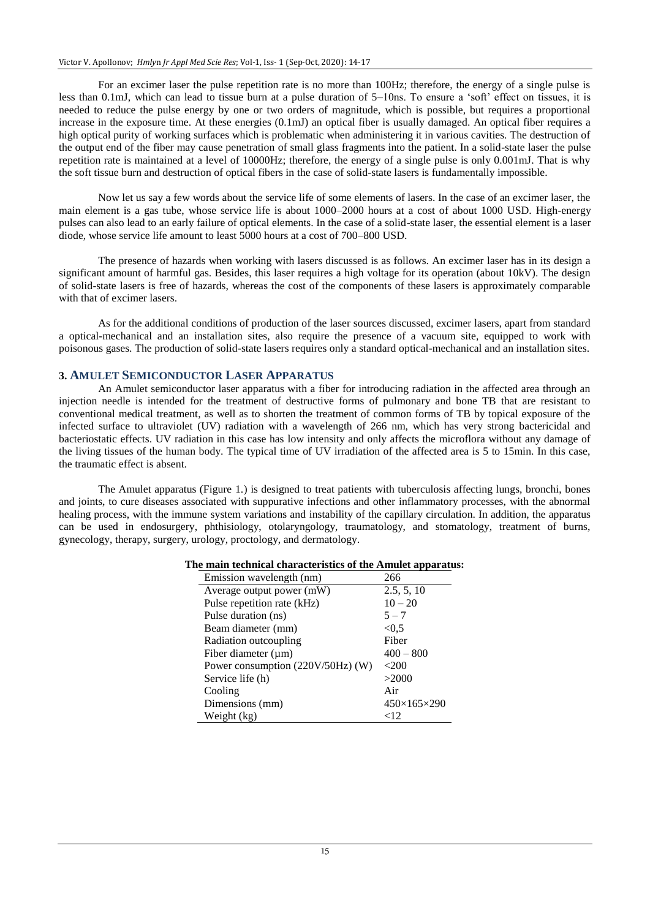For an excimer laser the pulse repetition rate is no more than 100Hz; therefore, the energy of a single pulse is less than 0.1mJ, which can lead to tissue burn at a pulse duration of 5–10ns. To ensure a 'soft' effect on tissues, it is needed to reduce the pulse energy by one or two orders of magnitude, which is possible, but requires a proportional increase in the exposure time. At these energies (0.1mJ) an optical fiber is usually damaged. An optical fiber requires a high optical purity of working surfaces which is problematic when administering it in various cavities. The destruction of the output end of the fiber may cause penetration of small glass fragments into the patient. In a solid-state laser the pulse repetition rate is maintained at a level of 10000Hz; therefore, the energy of a single pulse is only 0.001mJ. That is why the soft tissue burn and destruction of optical fibers in the case of solid-state lasers is fundamentally impossible.

Now let us say a few words about the service life of some elements of lasers. In the case of an excimer laser, the main element is a gas tube, whose service life is about 1000–2000 hours at a cost of about 1000 USD. High-energy pulses can also lead to an early failure of optical elements. In the case of a solid-state laser, the essential element is a laser diode, whose service life amount to least 5000 hours at a cost of 700–800 USD.

The presence of hazards when working with lasers discussed is as follows. An excimer laser has in its design a significant amount of harmful gas. Besides, this laser requires a high voltage for its operation (about 10kV). The design of solid-state lasers is free of hazards, whereas the cost of the components of these lasers is approximately comparable with that of excimer lasers.

As for the additional conditions of production of the laser sources discussed, excimer lasers, apart from standard a optical-mechanical and an installation sites, also require the presence of a vacuum site, equipped to work with poisonous gases. The production of solid-state lasers requires only a standard optical-mechanical and an installation sites.

#### **3. AMULET SEMICONDUCTOR LASER APPARATUS**

An Amulet semiconductor laser apparatus with a fiber for introducing radiation in the affected area through an injection needle is intended for the treatment of destructive forms of pulmonary and bone TB that are resistant to conventional medical treatment, as well as to shorten the treatment of common forms of TB by topical exposure of the infected surface to ultraviolet (UV) radiation with a wavelength of 266 nm, which has very strong bactericidal and bacteriostatic effects. UV radiation in this case has low intensity and only affects the microflora without any damage of the living tissues of the human body. The typical time of UV irradiation of the affected area is 5 to 15min. In this case, the traumatic effect is absent.

The Amulet apparatus (Figure 1.) is designed to treat patients with tuberculosis affecting lungs, bronchi, bones and joints, to cure diseases associated with suppurative infections and other inflammatory processes, with the abnormal healing process, with the immune system variations and instability of the capillary circulation. In addition, the apparatus can be used in endosurgery, phthisiology, otolaryngology, traumatology, and stomatology, treatment of burns, gynecology, therapy, surgery, urology, proctology, and dermatology.

| Emission wavelength (nm)          | 266                     |
|-----------------------------------|-------------------------|
| Average output power (mW)         | 2.5, 5, 10              |
| Pulse repetition rate (kHz)       | $10 - 20$               |
| Pulse duration (ns)               | $5 - 7$                 |
| Beam diameter (mm)                | < 0.5                   |
| Radiation outcoupling             | Fiber                   |
| Fiber diameter $(\mu m)$          | $400 - 800$             |
| Power consumption (220V/50Hz) (W) | $<$ 200                 |
| Service life (h)                  | >2000                   |
| Cooling                           | Air                     |
| Dimensions (mm)                   | $450\times165\times290$ |
| Weight (kg)                       | $<$ 12                  |

#### **The main technical characteristics of the Amulet apparatus:**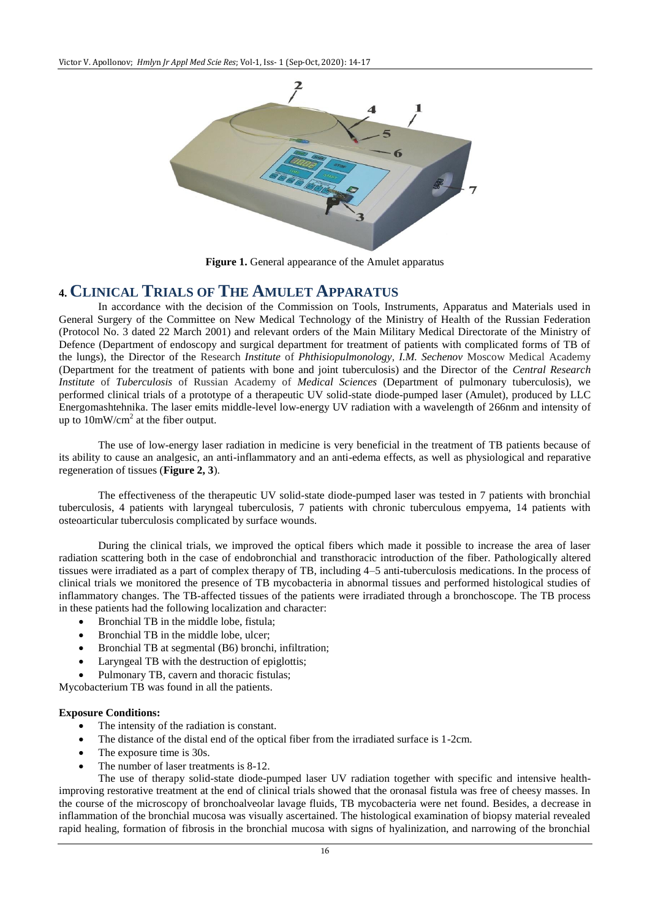

**Figure 1.** General appearance of the Amulet apparatus

#### **4. CLINICAL TRIALS OF THE AMULET APPARATUS**

In accordance with the decision of the Commission on Tools, Instruments, Apparatus and Materials used in General Surgery of the Committee on New Medical Technology of the Ministry of Health of the Russian Federation (Protocol No. 3 dated 22 March 2001) and relevant orders of the Main Military Medical Directorate of the Ministry of Defence (Department of endoscopy and surgical department for treatment of patients with complicated forms of TB of the lungs), the Director of the Research *Institute* of *Phthisiopulmonology*, *I.M. Sechenov* Moscow Medical Academy (Department for the treatment of patients with bone and joint tuberculosis) and the Director of the *Central Research Institute* of *Tuberculosis* of Russian Academy of *Medical Sciences* (Department of pulmonary tuberculosis), we performed clinical trials of a prototype of a therapeutic UV solid-state diode-pumped laser (Amulet), produced by LLC Energomashtehnika. The laser emits middle-level low-energy UV radiation with a wavelength of 266nm and intensity of up to  $10mW/cm<sup>2</sup>$  at the fiber output.

The use of low-energy laser radiation in medicine is very beneficial in the treatment of TB patients because of its ability to cause an analgesic, an anti-inflammatory and an anti-edema effects, as well as physiological and reparative regeneration of tissues (**Figure 2, 3**).

The effectiveness of the therapeutic UV solid-state diode-pumped laser was tested in 7 patients with bronchial tuberculosis, 4 patients with laryngeal tuberculosis, 7 patients with chronic tuberculous empyema, 14 patients with osteoarticular tuberculosis complicated by surface wounds.

During the clinical trials, we improved the optical fibers which made it possible to increase the area of laser radiation scattering both in the case of endobronchial and transthoracic introduction of the fiber. Pathologically altered tissues were irradiated as a part of complex therapy of TB, including 4–5 anti-tuberculosis medications. In the process of clinical trials we monitored the presence of TB mycobacteria in abnormal tissues and performed histological studies of inflammatory changes. The TB-affected tissues of the patients were irradiated through a bronchoscope. The TB process in these patients had the following localization and character:

- Bronchial TB in the middle lobe, fistula;
- Bronchial TB in the middle lobe, ulcer;
- Bronchial TB at segmental (B6) bronchi, infiltration;
- Laryngeal TB with the destruction of epiglottis;
- Pulmonary TB, cavern and thoracic fistulas:

Mycobacterium TB was found in all the patients.

#### **Exposure Conditions:**

- The intensity of the radiation is constant.
- The distance of the distal end of the optical fiber from the irradiated surface is 1-2cm.
- The exposure time is 30s.
- The number of laser treatments is 8-12.

The use of therapy solid-state diode-pumped laser UV radiation together with specific and intensive healthimproving restorative treatment at the end of clinical trials showed that the oronasal fistula was free of cheesy masses. In the course of the microscopy of bronchoalveolar lavage fluids, TB mycobacteria were net found. Besides, a decrease in inflammation of the bronchial mucosa was visually ascertained. The histological examination of biopsy material revealed rapid healing, formation of fibrosis in the bronchial mucosa with signs of hyalinization, and narrowing of the bronchial